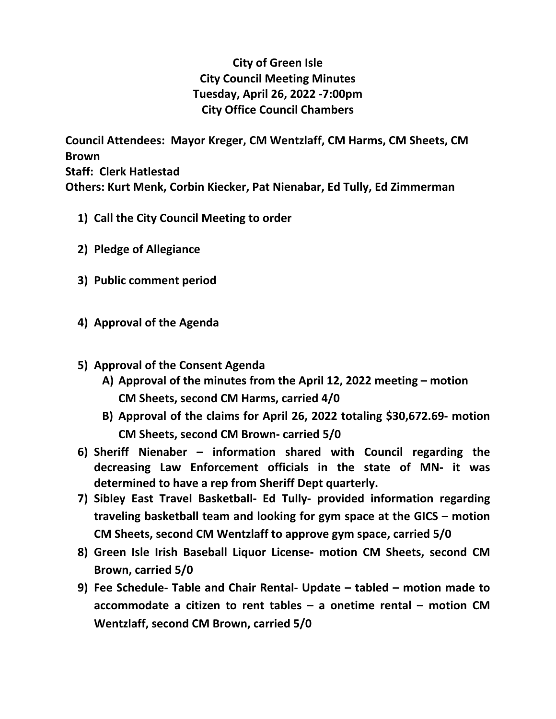## **City of Green Isle City Council Meeting Minutes Tuesday, April 26, 2022 -7:00pm City Office Council Chambers**

**Council Attendees: Mayor Kreger, CM Wentzlaff, CM Harms, CM Sheets, CM Brown Staff: Clerk Hatlestad Others: Kurt Menk, Corbin Kiecker, Pat Nienabar, Ed Tully, Ed Zimmerman**

- **1) Call the City Council Meeting to order**
- **2) Pledge of Allegiance**
- **3) Public comment period**
- **4) Approval of the Agenda**
- **5) Approval of the Consent Agenda**
	- **A) Approval of the minutes from the April 12, 2022 meeting motion CM Sheets, second CM Harms, carried 4/0**
	- **B) Approval of the claims for April 26, 2022 totaling \$30,672.69- motion CM Sheets, second CM Brown- carried 5/0**
- **6) Sheriff Nienaber information shared with Council regarding the decreasing Law Enforcement officials in the state of MN- it was determined to have a rep from Sheriff Dept quarterly.**
- **7) Sibley East Travel Basketball- Ed Tully- provided information regarding traveling basketball team and looking for gym space at the GICS – motion CM Sheets, second CM Wentzlaff to approve gym space, carried 5/0**
- **8) Green Isle Irish Baseball Liquor License- motion CM Sheets, second CM Brown, carried 5/0**
- **9) Fee Schedule- Table and Chair Rental- Update tabled motion made to accommodate a citizen to rent tables – a onetime rental – motion CM Wentzlaff, second CM Brown, carried 5/0**